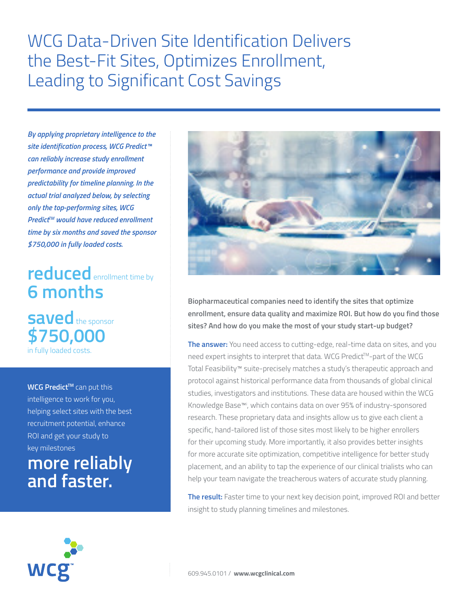WCG Data-Driven Site Identification Delivers the Best-Fit Sites, Optimizes Enrollment, Leading to Significant Cost Savings

*By applying proprietary intelligence to the site identification process, WCG Predict™ can reliably increase study enrollment performance and provide improved predictability for timeline planning. In the actual trial analyzed below, by selecting only the top-performing sites, WCG*  **Predict™ would have reduced enrollment** *time by six months and saved the sponsor \$750,000 in fully loaded costs.*

# **reduced** enrollment time by **6 months**

**saved** the sponsor **\$750,000** in fully loaded costs.

**WCG Predict™** can put this intelligence to work for you, helping select sites with the best recruitment potential, enhance ROI and get your study to key milestones

**more reliably and faster.**



**Biopharmaceutical companies need to identify the sites that optimize enrollment, ensure data quality and maximize ROI. But how do you find those sites? And how do you make the most of your study start-up budget?** 

**The answer:** You need access to cutting-edge, real-time data on sites, and you need expert insights to interpret that data. WCG Predict™-part of the WCG Total Feasibility™ suite-precisely matches a study's therapeutic approach and protocol against historical performance data from thousands of global clinical studies, investigators and institutions. These data are housed within the WCG Knowledge Base™i , which contains data on over 95% of industry-sponsored research. These proprietary data and insights allow us to give each client a specific, hand-tailored list of those sites most likely to be higher enrollers for their upcoming study. More importantly, it also provides better insights for more accurate site optimization, competitive intelligence for better study placement, and an ability to tap the experience of our clinical trialists who can help your team navigate the treacherous waters of accurate study planning.

**The result:** Faster time to your next key decision point, improved ROI and better insight to study planning timelines and milestones.

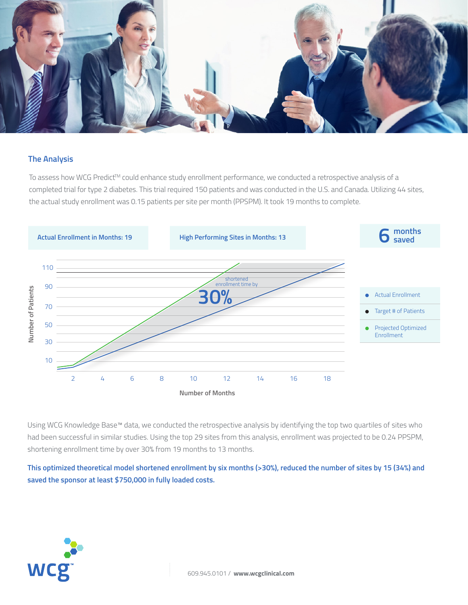

### **The Analysis**

To assess how WCG Predict™ could enhance study enrollment performance, we conducted a retrospective analysis of a completed trial for type 2 diabetes. This trial required 150 patients and was conducted in the U.S. and Canada. Utilizing 44 sites, the actual study enrollment was 0.15 patients per site per month (PPSPM). It took 19 months to complete.



Using WCG Knowledge Base™ data, we conducted the retrospective analysis by identifying the top two quartiles of sites who had been successful in similar studies. Using the top 29 sites from this analysis, enrollment was projected to be 0.24 PPSPM, shortening enrollment time by over 30% from 19 months to 13 months.

**This optimized theoretical model shortened enrollment by six months (>30%), reduced the number of sites by 15 (34%) and saved the sponsor at least \$750,000 in fully loaded costs.**

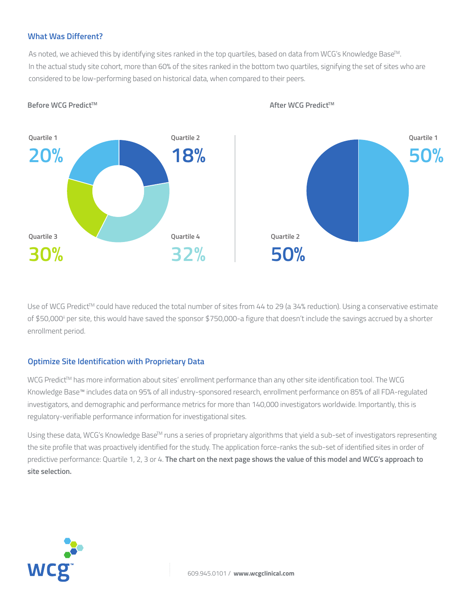#### **What Was Different?**

As noted, we achieved this by identifying sites ranked in the top quartiles, based on data from WCG's Knowledge Base<sup>™.</sup> In the actual study site cohort, more than 60% of the sites ranked in the bottom two quartiles, signifying the set of sites who are considered to be low-performing based on historical data, when compared to their peers.



#### **Before WCG Predict™** to the set of the set of the set of the set of the set of the set of the set of the set of the set of the set of the set of the set of the set of the set of the set of the set of the set of the set o

Use of WCG Predict™ could have reduced the total number of sites from 44 to 29 (a 34% reduction). Using a conservative estimate of \$50,000ii per site, this would have saved the sponsor \$750,000-a figure that doesn't include the savings accrued by a shorter enrollment period.

### **Optimize Site Identification with Proprietary Data**

WCG Predict™ has more information about sites' enrollment performance than any other site identification tool. The WCG Knowledge Base™ includes data on 95% of all industry-sponsored research, enrollment performance on 85% of all FDA-regulated investigators, and demographic and performance metrics for more than 140,000 investigators worldwide. Importantly, this is regulatory-verifiable performance information for investigational sites.

Using these data, WCG's Knowledge Base<sup>TM</sup> runs a series of proprietary algorithms that yield a sub-set of investigators representing the site profile that was proactively identified for the study. The application force-ranks the sub-set of identified sites in order of predictive performance: Quartile 1, 2, 3 or 4. **The chart on the next page shows the value of this model and WCG's approach to site selection.**